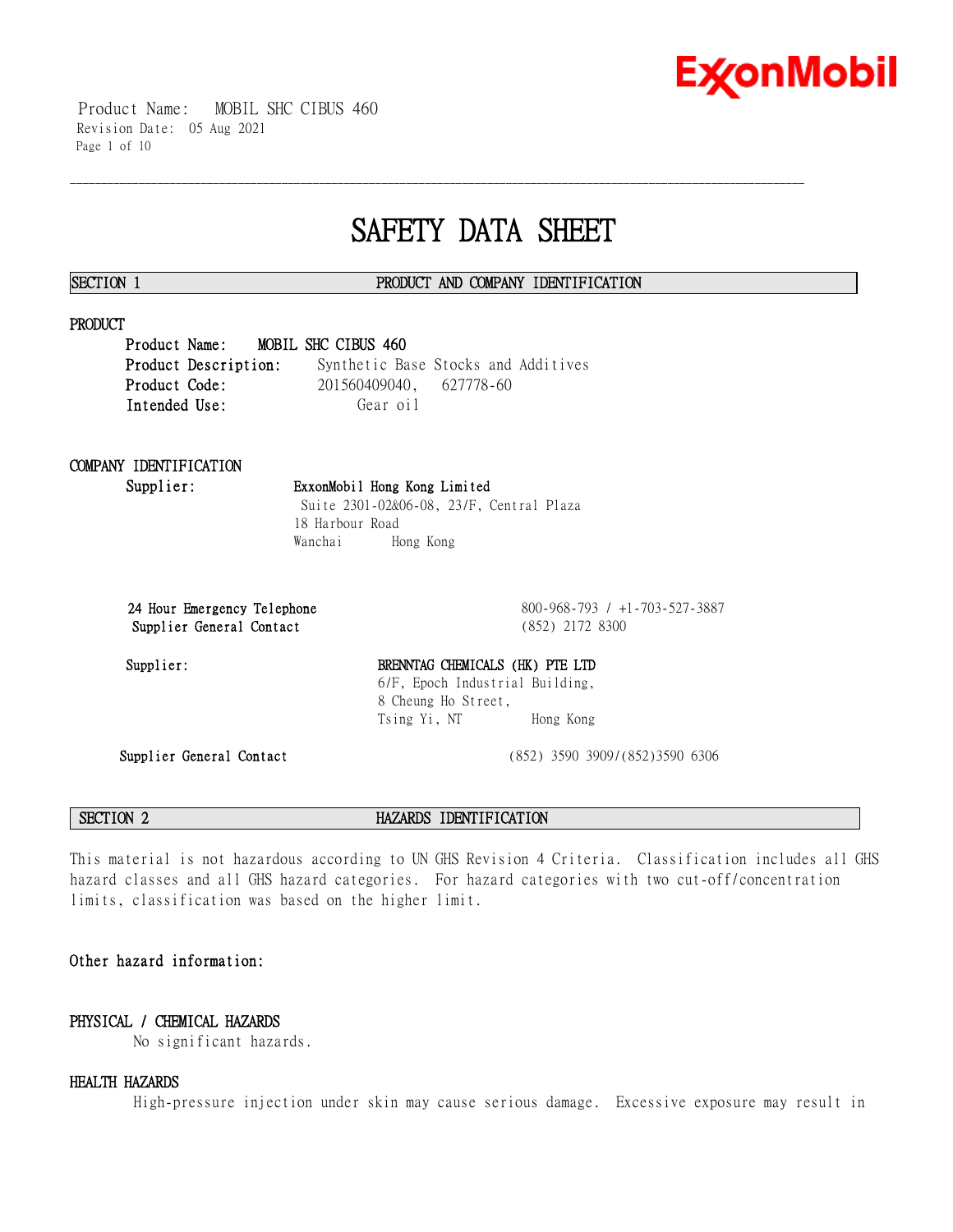

 Product Name: MOBIL SHC CIBUS 460 Revision Date: 05 Aug 2021 Page 1 of 10

# **SAFETY DATA SHEET**

\_\_\_\_\_\_\_\_\_\_\_\_\_\_\_\_\_\_\_\_\_\_\_\_\_\_\_\_\_\_\_\_\_\_\_\_\_\_\_\_\_\_\_\_\_\_\_\_\_\_\_\_\_\_\_\_\_\_\_\_\_\_\_\_\_\_\_\_\_\_\_\_\_\_\_\_\_\_\_\_\_\_\_\_\_\_\_\_\_\_\_\_\_\_\_\_\_\_\_\_\_\_\_\_\_\_\_\_\_\_\_\_\_\_\_\_\_\_

### **SECTION 1 PRODUCT AND COMPANY IDENTIFICATION**

### **PRODUCT**

**Product Name: MOBIL SHC CIBUS 460 Product Description:** Synthetic Base Stocks and Additives **Product Code:** 201560409040, 627778-60 Intended Use: Gear oil

## **COMPANY IDENTIFICATION**

## **Supplier: ExxonMobil Hong Kong Limited**

Suite 2301-02&06-08, 23/F, Central Plaza 18 Harbour Road Wanchai Hong Kong

**24 Hour Emergency Telephone** 800-968-793 / +1-703-527-3887 **Supplier General Contact** (852) 2172 8300

Supplier:

| BRENNTAG CHEMICALS (HK) PTE LTD |           |
|---------------------------------|-----------|
| 6/F, Epoch Industrial Building, |           |
| 8 Cheung Ho Street,             |           |
| Tsing Yi, NT                    | Hong Kong |
|                                 |           |

**Supplier General Contact** (852) 3590 3909/(852)3590 6306

**SECTION 2 HAZARDS IDENTIFICATION** 

This material is not hazardous according to UN GHS Revision 4 Criteria. Classification includes all GHS hazard classes and all GHS hazard categories. For hazard categories with two cut-off/concentration limits, classification was based on the higher limit.

### **Other hazard information:**

### **PHYSICAL / CHEMICAL HAZARDS**

No significant hazards.

### **HEALTH HAZARDS**

High-pressure injection under skin may cause serious damage. Excessive exposure may result in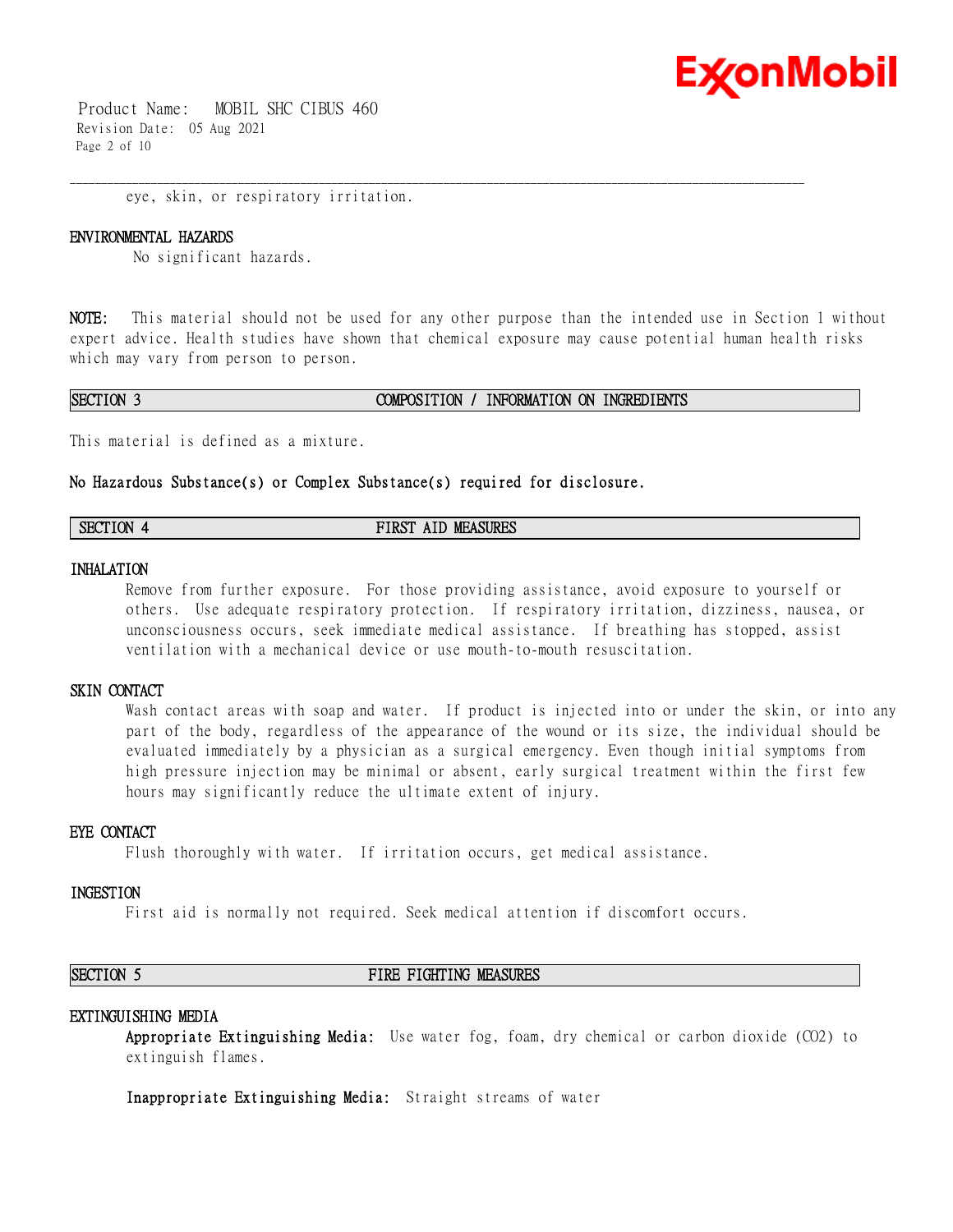

 Product Name: MOBIL SHC CIBUS 460 Revision Date: 05 Aug 2021 Page 2 of 10

eye, skin, or respiratory irritation.

#### **ENVIRONMENTAL HAZARDS**

No significant hazards.

**NOTE:** This material should not be used for any other purpose than the intended use in Section 1 without expert advice. Health studies have shown that chemical exposure may cause potential human health risks which may vary from person to person.

\_\_\_\_\_\_\_\_\_\_\_\_\_\_\_\_\_\_\_\_\_\_\_\_\_\_\_\_\_\_\_\_\_\_\_\_\_\_\_\_\_\_\_\_\_\_\_\_\_\_\_\_\_\_\_\_\_\_\_\_\_\_\_\_\_\_\_\_\_\_\_\_\_\_\_\_\_\_\_\_\_\_\_\_\_\_\_\_\_\_\_\_\_\_\_\_\_\_\_\_\_\_\_\_\_\_\_\_\_\_\_\_\_\_\_\_\_\_

#### **SECTION 3 COMPOSITION / INFORMATION ON INGREDIENTS**

This material is defined as a mixture.

#### **No Hazardous Substance(s) or Complex Substance(s) required for disclosure.**

| <b>SECTION</b><br><b>MEASURES</b><br>FIRST<br>AID |
|---------------------------------------------------|
|---------------------------------------------------|

### **INHALATION**

Remove from further exposure. For those providing assistance, avoid exposure to yourself or others. Use adequate respiratory protection. If respiratory irritation, dizziness, nausea, or unconsciousness occurs, seek immediate medical assistance. If breathing has stopped, assist ventilation with a mechanical device or use mouth-to-mouth resuscitation.

#### **SKIN CONTACT**

Wash contact areas with soap and water. If product is injected into or under the skin, or into any part of the body, regardless of the appearance of the wound or its size, the individual should be evaluated immediately by a physician as a surgical emergency. Even though initial symptoms from high pressure injection may be minimal or absent, early surgical treatment within the first few hours may significantly reduce the ultimate extent of injury.

### **EYE CONTACT**

Flush thoroughly with water. If irritation occurs, get medical assistance.

### **INGESTION**

First aid is normally not required. Seek medical attention if discomfort occurs.

#### **SECTION 5 FIRE FIGHTING MEASURES**

#### **EXTINGUISHING MEDIA**

**Appropriate Extinguishing Media:** Use water fog, foam, dry chemical or carbon dioxide (CO2) to extinguish flames.

**Inappropriate Extinguishing Media:** Straight streams of water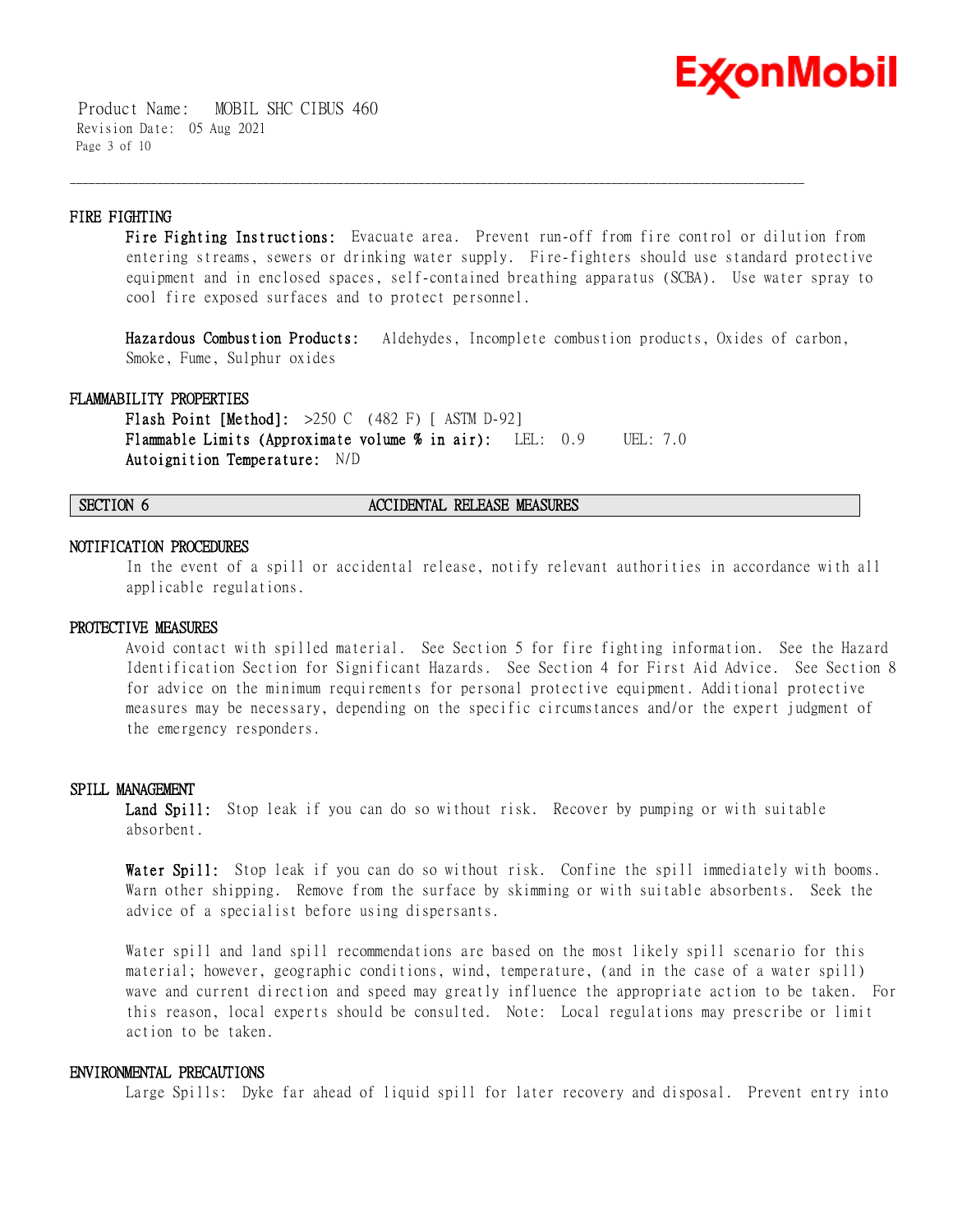

 Product Name: MOBIL SHC CIBUS 460 Revision Date: 05 Aug 2021 Page 3 of 10

### **FIRE FIGHTING**

**Fire Fighting Instructions:** Evacuate area. Prevent run-off from fire control or dilution from entering streams, sewers or drinking water supply. Fire-fighters should use standard protective equipment and in enclosed spaces, self-contained breathing apparatus (SCBA). Use water spray to cool fire exposed surfaces and to protect personnel.

\_\_\_\_\_\_\_\_\_\_\_\_\_\_\_\_\_\_\_\_\_\_\_\_\_\_\_\_\_\_\_\_\_\_\_\_\_\_\_\_\_\_\_\_\_\_\_\_\_\_\_\_\_\_\_\_\_\_\_\_\_\_\_\_\_\_\_\_\_\_\_\_\_\_\_\_\_\_\_\_\_\_\_\_\_\_\_\_\_\_\_\_\_\_\_\_\_\_\_\_\_\_\_\_\_\_\_\_\_\_\_\_\_\_\_\_\_\_

**Hazardous Combustion Products:** Aldehydes, Incomplete combustion products, Oxides of carbon, Smoke, Fume, Sulphur oxides

#### **FLAMMABILITY PROPERTIES**

**Flash Point [Method]:** >250 C (482 F) [ ASTM D-92] **Flammable Limits (Approximate volume % in air):** LEL: 0.9 UEL: 7.0 **Autoignition Temperature:** N/D

#### **SECTION 6 ACCIDENTAL RELEASE MEASURES**

#### **NOTIFICATION PROCEDURES**

In the event of a spill or accidental release, notify relevant authorities in accordance with all applicable regulations.

#### **PROTECTIVE MEASURES**

Avoid contact with spilled material. See Section 5 for fire fighting information. See the Hazard Identification Section for Significant Hazards. See Section 4 for First Aid Advice. See Section 8 for advice on the minimum requirements for personal protective equipment. Additional protective measures may be necessary, depending on the specific circumstances and/or the expert judgment of the emergency responders.

#### **SPILL MANAGEMENT**

**Land Spill:** Stop leak if you can do so without risk. Recover by pumping or with suitable absorbent.

**Water Spill:** Stop leak if you can do so without risk. Confine the spill immediately with booms. Warn other shipping. Remove from the surface by skimming or with suitable absorbents. Seek the advice of a specialist before using dispersants.

Water spill and land spill recommendations are based on the most likely spill scenario for this material; however, geographic conditions, wind, temperature, (and in the case of a water spill) wave and current direction and speed may greatly influence the appropriate action to be taken. For this reason, local experts should be consulted. Note: Local regulations may prescribe or limit action to be taken.

#### **ENVIRONMENTAL PRECAUTIONS**

Large Spills: Dyke far ahead of liquid spill for later recovery and disposal. Prevent entry into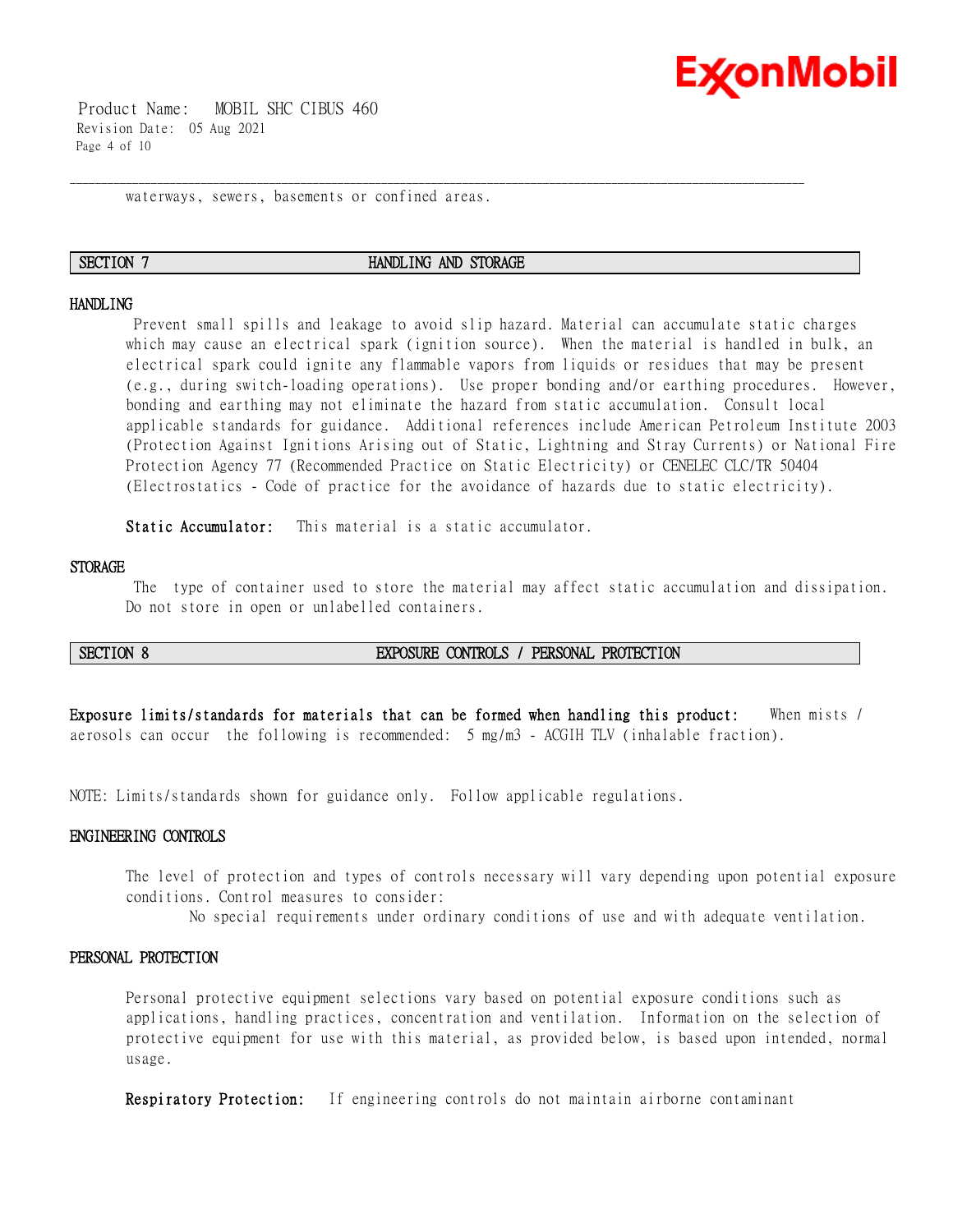

 Product Name: MOBIL SHC CIBUS 460 Revision Date: 05 Aug 2021 Page 4 of 10

waterways, sewers, basements or confined areas.

#### **SECTION 7 HANDLING AND STORAGE**

\_\_\_\_\_\_\_\_\_\_\_\_\_\_\_\_\_\_\_\_\_\_\_\_\_\_\_\_\_\_\_\_\_\_\_\_\_\_\_\_\_\_\_\_\_\_\_\_\_\_\_\_\_\_\_\_\_\_\_\_\_\_\_\_\_\_\_\_\_\_\_\_\_\_\_\_\_\_\_\_\_\_\_\_\_\_\_\_\_\_\_\_\_\_\_\_\_\_\_\_\_\_\_\_\_\_\_\_\_\_\_\_\_\_\_\_\_\_

#### **HANDLING**

Prevent small spills and leakage to avoid slip hazard. Material can accumulate static charges which may cause an electrical spark (ignition source). When the material is handled in bulk, an electrical spark could ignite any flammable vapors from liquids or residues that may be present (e.g., during switch-loading operations). Use proper bonding and/or earthing procedures. However, bonding and earthing may not eliminate the hazard from static accumulation. Consult local applicable standards for guidance. Additional references include American Petroleum Institute 2003 (Protection Against Ignitions Arising out of Static, Lightning and Stray Currents) or National Fire Protection Agency 77 (Recommended Practice on Static Electricity) or CENELEC CLC/TR 50404 (Electrostatics - Code of practice for the avoidance of hazards due to static electricity).

**Static Accumulator:** This material is a static accumulator.

#### **STORAGE**

The type of container used to store the material may affect static accumulation and dissipation. Do not store in open or unlabelled containers.

### **SECTION 8 EXPOSURE CONTROLS / PERSONAL PROTECTION**

**Exposure limits/standards for materials that can be formed when handling this product:** When mists / aerosols can occur the following is recommended: 5 mg/m3 - ACGIH TLV (inhalable fraction).

NOTE: Limits/standards shown for guidance only. Follow applicable regulations.

#### **ENGINEERING CONTROLS**

The level of protection and types of controls necessary will vary depending upon potential exposure conditions. Control measures to consider:

No special requirements under ordinary conditions of use and with adequate ventilation.

#### **PERSONAL PROTECTION**

Personal protective equipment selections vary based on potential exposure conditions such as applications, handling practices, concentration and ventilation. Information on the selection of protective equipment for use with this material, as provided below, is based upon intended, normal usage.

**Respiratory Protection:** If engineering controls do not maintain airborne contaminant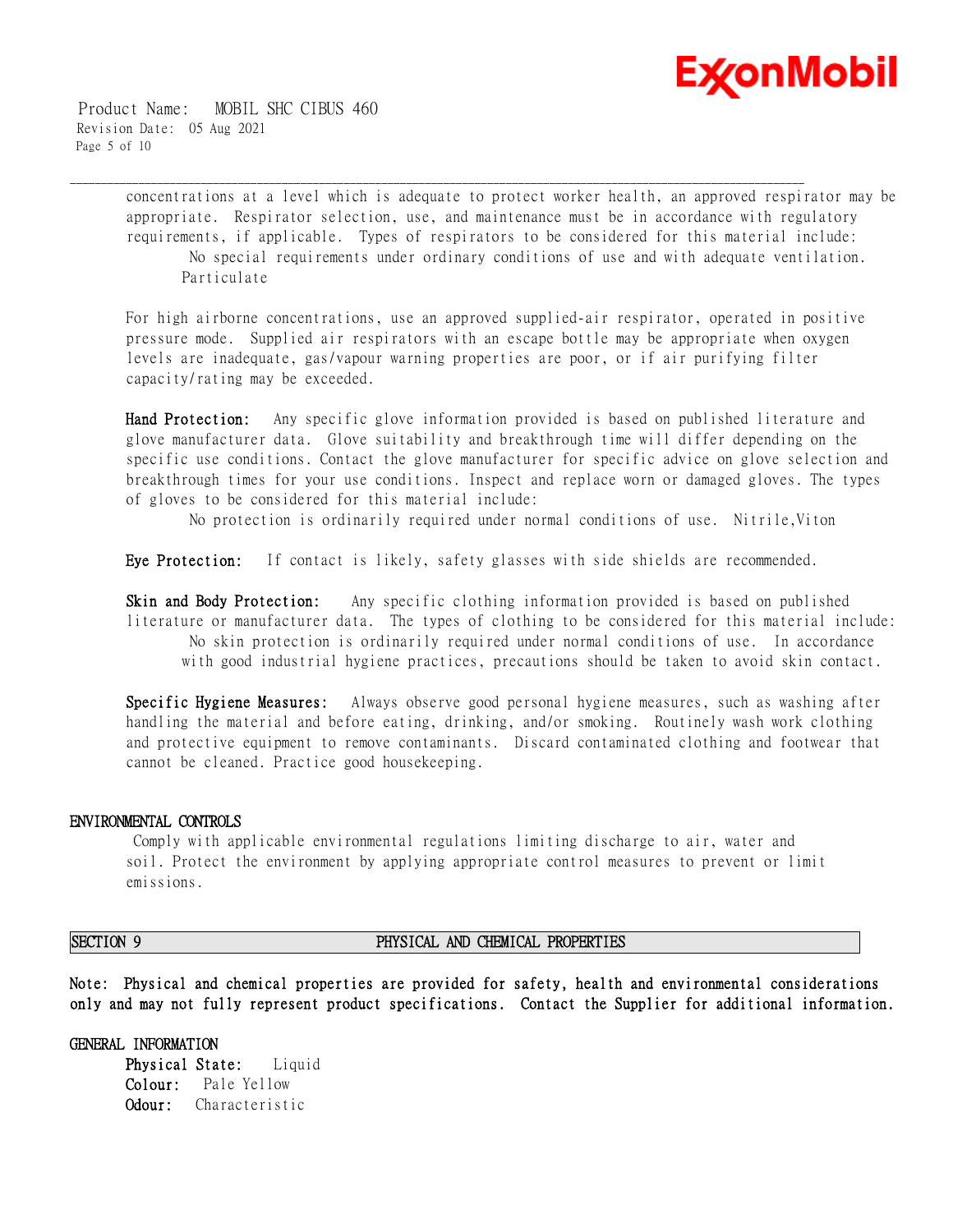

 Product Name: MOBIL SHC CIBUS 460 Revision Date: 05 Aug 2021 Page 5 of 10

> concentrations at a level which is adequate to protect worker health, an approved respirator may be appropriate. Respirator selection, use, and maintenance must be in accordance with regulatory requirements, if applicable. Types of respirators to be considered for this material include: No special requirements under ordinary conditions of use and with adequate ventilation. Particulate

\_\_\_\_\_\_\_\_\_\_\_\_\_\_\_\_\_\_\_\_\_\_\_\_\_\_\_\_\_\_\_\_\_\_\_\_\_\_\_\_\_\_\_\_\_\_\_\_\_\_\_\_\_\_\_\_\_\_\_\_\_\_\_\_\_\_\_\_\_\_\_\_\_\_\_\_\_\_\_\_\_\_\_\_\_\_\_\_\_\_\_\_\_\_\_\_\_\_\_\_\_\_\_\_\_\_\_\_\_\_\_\_\_\_\_\_\_\_

For high airborne concentrations, use an approved supplied-air respirator, operated in positive pressure mode. Supplied air respirators with an escape bottle may be appropriate when oxygen levels are inadequate, gas/vapour warning properties are poor, or if air purifying filter capacity/rating may be exceeded.

**Hand Protection:** Any specific glove information provided is based on published literature and glove manufacturer data. Glove suitability and breakthrough time will differ depending on the specific use conditions. Contact the glove manufacturer for specific advice on glove selection and breakthrough times for your use conditions. Inspect and replace worn or damaged gloves. The types of gloves to be considered for this material include:

No protection is ordinarily required under normal conditions of use. Nitrile,Viton

**Eye Protection:** If contact is likely, safety glasses with side shields are recommended.

**Skin and Body Protection:** Any specific clothing information provided is based on published literature or manufacturer data. The types of clothing to be considered for this material include: No skin protection is ordinarily required under normal conditions of use. In accordance with good industrial hygiene practices, precautions should be taken to avoid skin contact.

**Specific Hygiene Measures:** Always observe good personal hygiene measures, such as washing after handling the material and before eating, drinking, and/or smoking. Routinely wash work clothing and protective equipment to remove contaminants. Discard contaminated clothing and footwear that cannot be cleaned. Practice good housekeeping.

#### **ENVIRONMENTAL CONTROLS**

Comply with applicable environmental regulations limiting discharge to air, water and soil. Protect the environment by applying appropriate control measures to prevent or limit emissions.

#### **SECTION 9 PHYSICAL AND CHEMICAL PROPERTIES**

**Note: Physical and chemical properties are provided for safety, health and environmental considerations only and may not fully represent product specifications. Contact the Supplier for additional information.**

#### **GENERAL INFORMATION**

**Physical State:** Liquid **Colour:** Pale Yellow **Odour:** Characteristic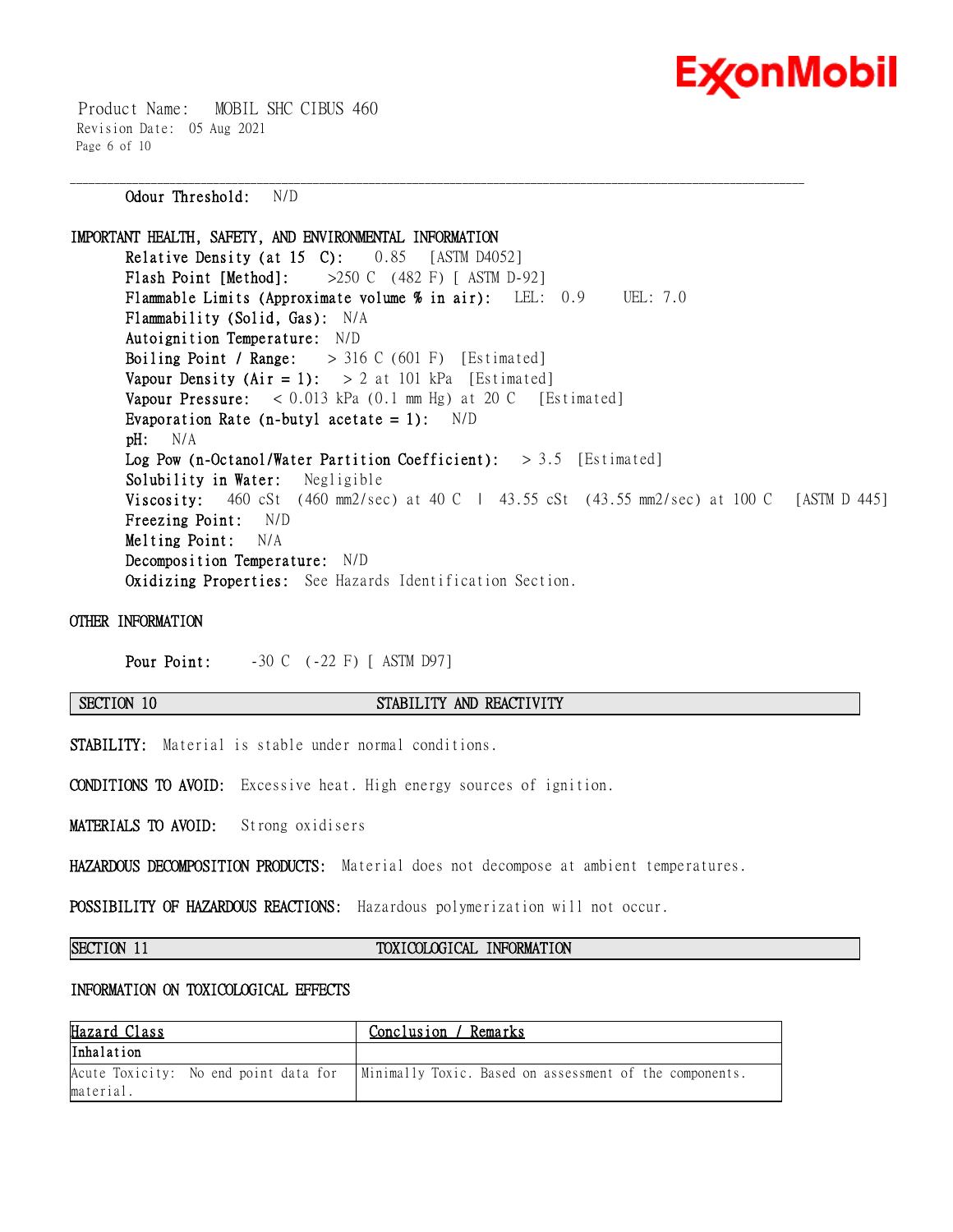

 Product Name: MOBIL SHC CIBUS 460 Revision Date: 05 Aug 2021 Page 6 of 10

**Odour Threshold:** N/D

**IMPORTANT HEALTH, SAFETY, AND ENVIRONMENTAL INFORMATION Relative Density (at 15 C):** 0.85 [ASTM D4052] **Flash Point [Method]:** >250 C (482 F) [ ASTM D-92] **Flammable Limits (Approximate volume % in air):** LEL: 0.9 UEL: 7.0 **Flammability (Solid, Gas):** N/A **Autoignition Temperature:** N/D **Boiling Point / Range:** > 316 C (601 F) [Estimated] **Vapour Density (Air = 1):**  $> 2$  at 101 kPa [Estimated] **Vapour Pressure:** < 0.013 kPa (0.1 mm Hg) at 20 C [Estimated] **Evaporation Rate (n-butyl acetate = 1):** N/D **pH:** N/A **Log Pow (n-Octanol/Water Partition Coefficient):** > 3.5 [Estimated] **Solubility in Water:** Negligible **Viscosity:** 460 cSt (460 mm2/sec) at 40 C | 43.55 cSt (43.55 mm2/sec) at 100 C [ASTM D 445] **Freezing Point:** N/D **Melting Point:** N/A **Decomposition Temperature:** N/D **Oxidizing Properties:** See Hazards Identification Section.

\_\_\_\_\_\_\_\_\_\_\_\_\_\_\_\_\_\_\_\_\_\_\_\_\_\_\_\_\_\_\_\_\_\_\_\_\_\_\_\_\_\_\_\_\_\_\_\_\_\_\_\_\_\_\_\_\_\_\_\_\_\_\_\_\_\_\_\_\_\_\_\_\_\_\_\_\_\_\_\_\_\_\_\_\_\_\_\_\_\_\_\_\_\_\_\_\_\_\_\_\_\_\_\_\_\_\_\_\_\_\_\_\_\_\_\_\_\_

#### **OTHER INFORMATION**

**Pour Point:**  $-30 \text{ C}$  (-22 F) [ ASTM D97]

#### **SECTION 10 STABILITY AND REACTIVITY**

**STABILITY:** Material is stable under normal conditions.

**CONDITIONS TO AVOID:** Excessive heat. High energy sources of ignition.

**MATERIALS TO AVOID:** Strong oxidisers

**HAZARDOUS DECOMPOSITION PRODUCTS:** Material does not decompose at ambient temperatures.

**POSSIBILITY OF HAZARDOUS REACTIONS:** Hazardous polymerization will not occur.

#### **SECTION 11 TOXICOLOGICAL INFORMATION**

#### **INFORMATION ON TOXICOLOGICAL EFFECTS**

| Hazard Class                          | Conclusion / Remarks                                    |
|---------------------------------------|---------------------------------------------------------|
| Inhalation                            |                                                         |
| Acute Toxicity: No end point data for | Minimally Toxic. Based on assessment of the components. |
| material.                             |                                                         |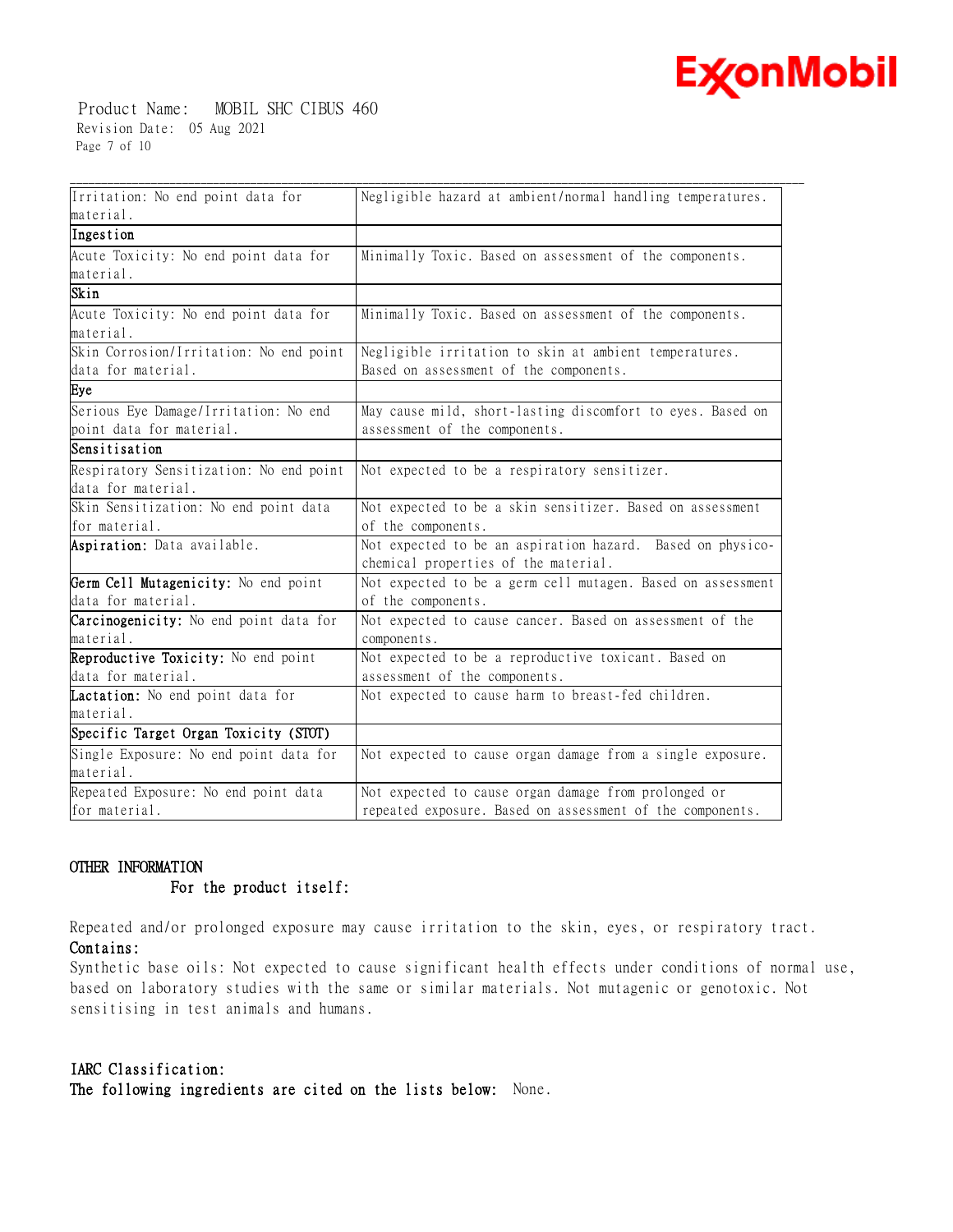

 Product Name: MOBIL SHC CIBUS 460 Revision Date: 05 Aug 2021 Page 7 of 10

| Irritation: No end point data for                   | Negligible hazard at ambient/normal handling temperatures.  |
|-----------------------------------------------------|-------------------------------------------------------------|
| material.                                           |                                                             |
| Ingestion                                           |                                                             |
| Acute Toxicity: No end point data for               | Minimally Toxic. Based on assessment of the components.     |
| material.                                           |                                                             |
| Skin                                                |                                                             |
| Acute Toxicity: No end point data for               | Minimally Toxic. Based on assessment of the components.     |
| material.                                           |                                                             |
| Skin Corrosion/Irritation: No end point             | Negligible irritation to skin at ambient temperatures.      |
| data for material.                                  | Based on assessment of the components.                      |
| Eye                                                 |                                                             |
| Serious Eye Damage/Irritation: No end               | May cause mild, short-lasting discomfort to eyes. Based on  |
| point data for material.                            | assessment of the components.                               |
| Sensitisation                                       |                                                             |
| Respiratory Sensitization: No end point             | Not expected to be a respiratory sensitizer.                |
| data for material.                                  |                                                             |
| Skin Sensitization: No end point data               | Not expected to be a skin sensitizer. Based on assessment   |
| for material.                                       | of the components.                                          |
| Aspiration: Data available.                         | Not expected to be an aspiration hazard. Based on physico-  |
|                                                     | chemical properties of the material.                        |
| Germ Cell Mutagenicity: No end point                | Not expected to be a germ cell mutagen. Based on assessment |
| data for material.                                  | of the components.                                          |
| Carcinogenicity: No end point data for              | Not expected to cause cancer. Based on assessment of the    |
| material.                                           | components.                                                 |
| Reproductive Toxicity: No end point                 | Not expected to be a reproductive toxicant. Based on        |
| data for material.                                  | assessment of the components.                               |
| Lactation: No end point data for                    | Not expected to cause harm to breast-fed children.          |
| material.                                           |                                                             |
| Specific Target Organ Toxicity (STOT)               |                                                             |
| Single Exposure: No end point data for<br>material. | Not expected to cause organ damage from a single exposure.  |
| Repeated Exposure: No end point data                | Not expected to cause organ damage from prolonged or        |
| for material.                                       | repeated exposure. Based on assessment of the components.   |

### **OTHER INFORMATION**

#### **For the product itself:**

Repeated and/or prolonged exposure may cause irritation to the skin, eyes, or respiratory tract. **Contains:**

Synthetic base oils: Not expected to cause significant health effects under conditions of normal use, based on laboratory studies with the same or similar materials. Not mutagenic or genotoxic. Not sensitising in test animals and humans.

### **IARC Classification:**

**The following ingredients are cited on the lists below:** None.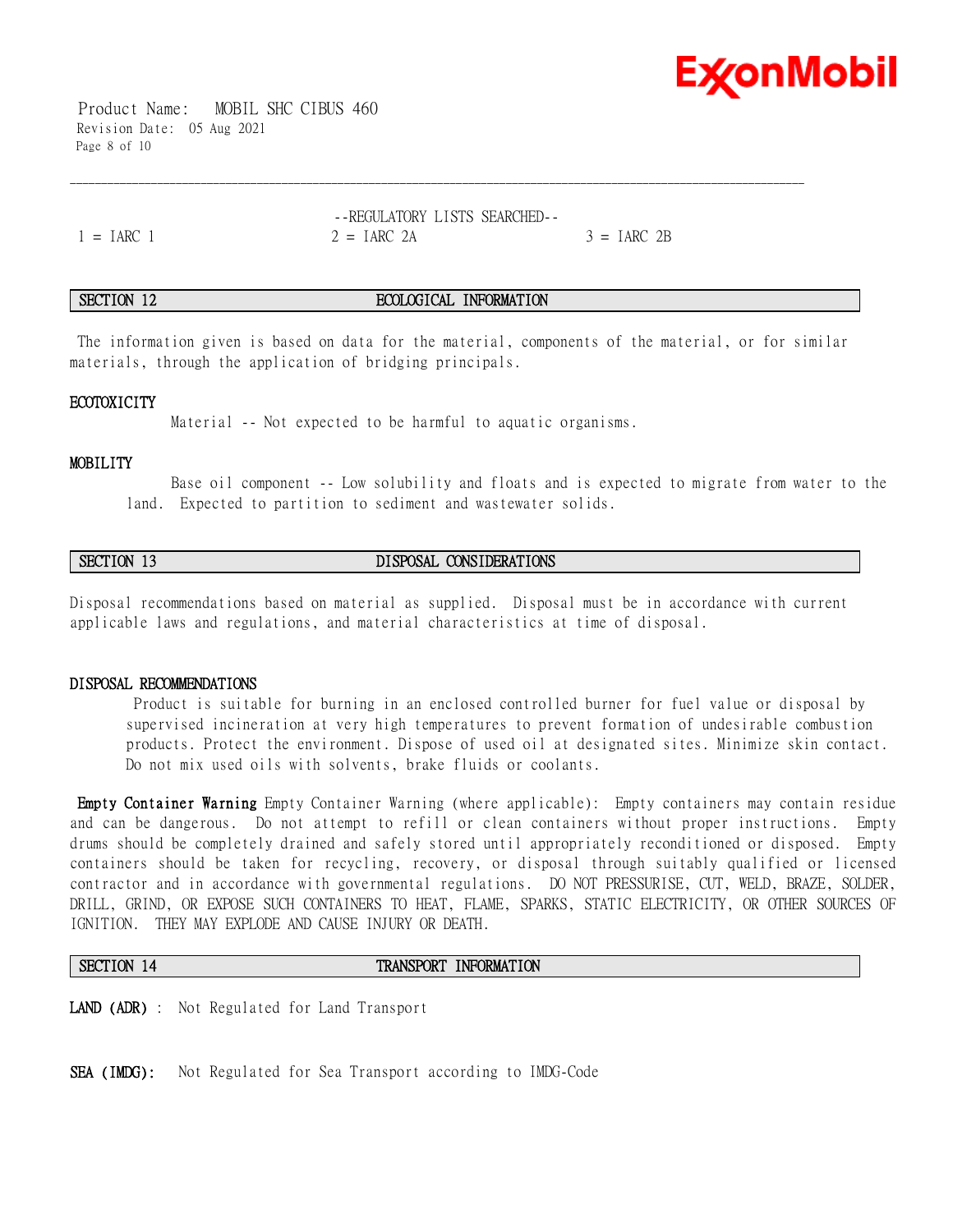

 Product Name: MOBIL SHC CIBUS 460 Revision Date: 05 Aug 2021 Page 8 of 10

--REGULATORY LISTS SEARCHED--  $1 = IARC$  1  $2 = IARC$  2A  $3 = IARC$  2B

#### **SECTION 12 ECOLOGICAL INFORMATION**

The information given is based on data for the material, components of the material, or for similar materials, through the application of bridging principals.

\_\_\_\_\_\_\_\_\_\_\_\_\_\_\_\_\_\_\_\_\_\_\_\_\_\_\_\_\_\_\_\_\_\_\_\_\_\_\_\_\_\_\_\_\_\_\_\_\_\_\_\_\_\_\_\_\_\_\_\_\_\_\_\_\_\_\_\_\_\_\_\_\_\_\_\_\_\_\_\_\_\_\_\_\_\_\_\_\_\_\_\_\_\_\_\_\_\_\_\_\_\_\_\_\_\_\_\_\_\_\_\_\_\_\_\_\_\_

#### **ECOTOXICITY**

Material -- Not expected to be harmful to aquatic organisms.

#### **MOBILITY**

 Base oil component -- Low solubility and floats and is expected to migrate from water to the land. Expected to partition to sediment and wastewater solids.

### **SECTION 13 DISPOSAL CONSIDERATIONS**

Disposal recommendations based on material as supplied. Disposal must be in accordance with current applicable laws and regulations, and material characteristics at time of disposal.

#### **DISPOSAL RECOMMENDATIONS**

Product is suitable for burning in an enclosed controlled burner for fuel value or disposal by supervised incineration at very high temperatures to prevent formation of undesirable combustion products. Protect the environment. Dispose of used oil at designated sites. Minimize skin contact. Do not mix used oils with solvents, brake fluids or coolants.

**Empty Container Warning** Empty Container Warning (where applicable): Empty containers may contain residue and can be dangerous. Do not attempt to refill or clean containers without proper instructions. Empty drums should be completely drained and safely stored until appropriately reconditioned or disposed. Empty containers should be taken for recycling, recovery, or disposal through suitably qualified or licensed contractor and in accordance with governmental regulations. DO NOT PRESSURISE, CUT, WELD, BRAZE, SOLDER, DRILL, GRIND, OR EXPOSE SUCH CONTAINERS TO HEAT, FLAME, SPARKS, STATIC ELECTRICITY, OR OTHER SOURCES OF IGNITION. THEY MAY EXPLODE AND CAUSE INJURY OR DEATH.

#### **SECTION 14 TRANSPORT INFORMATION**

**LAND (ADR)** : Not Regulated for Land Transport

**SEA (IMDG):** Not Regulated for Sea Transport according to IMDG-Code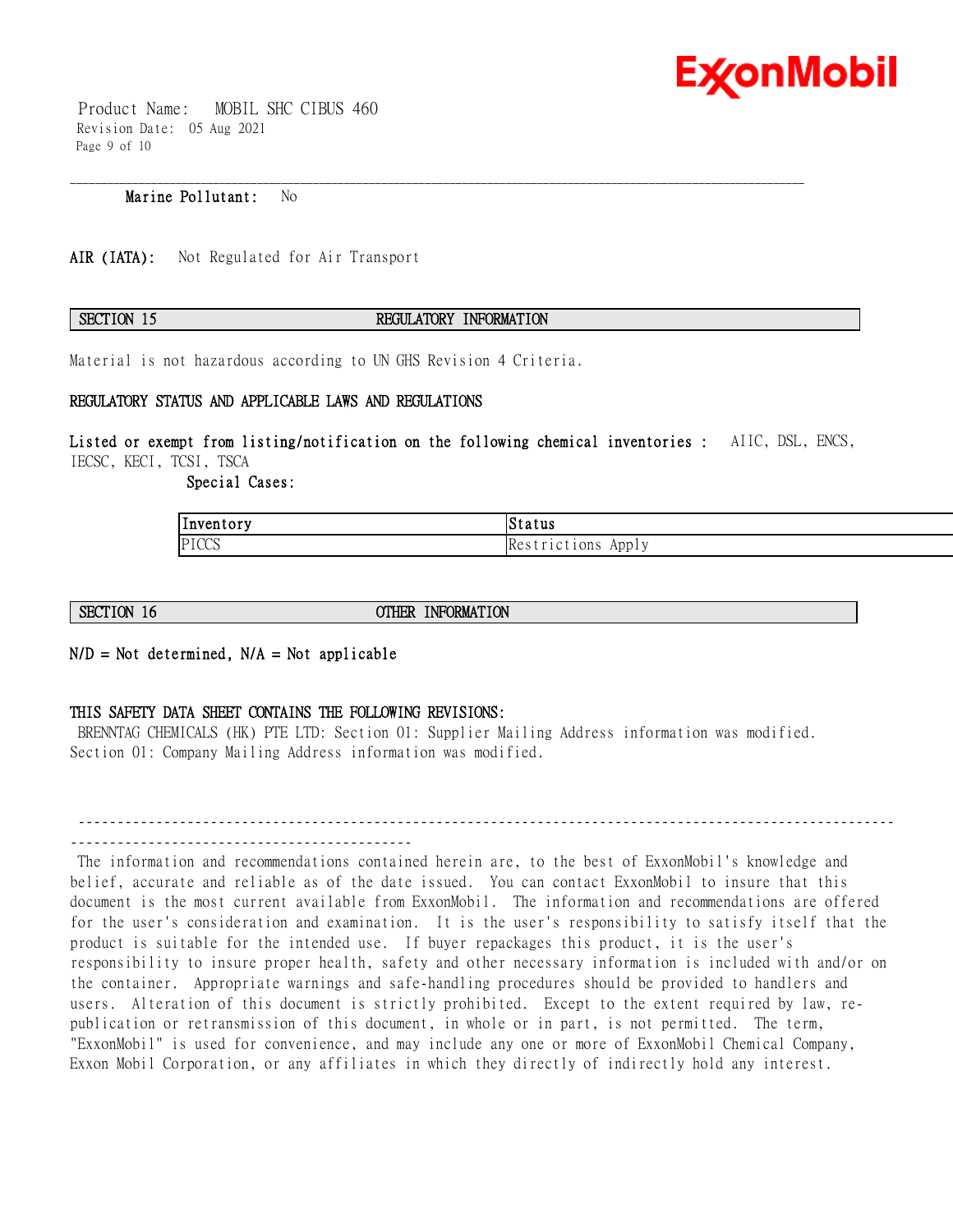

 Product Name: MOBIL SHC CIBUS 460 Revision Date: 05 Aug 2021 Page 9 of 10

### **Marine Pollutant:** No

AIR (IATA): Not Regulated for Air Transport

#### **SECTION 15 REGULATORY INFORMATION**

\_\_\_\_\_\_\_\_\_\_\_\_\_\_\_\_\_\_\_\_\_\_\_\_\_\_\_\_\_\_\_\_\_\_\_\_\_\_\_\_\_\_\_\_\_\_\_\_\_\_\_\_\_\_\_\_\_\_\_\_\_\_\_\_\_\_\_\_\_\_\_\_\_\_\_\_\_\_\_\_\_\_\_\_\_\_\_\_\_\_\_\_\_\_\_\_\_\_\_\_\_\_\_\_\_\_\_\_\_\_\_\_\_\_\_\_\_\_

Material is not hazardous according to UN GHS Revision 4 Criteria.

#### **REGULATORY STATUS AND APPLICABLE LAWS AND REGULATIONS**

**Listed or exempt from listing/notification on the following chemical inventories :** AIIC, DSL, ENCS, IECSC, KECI, TCSI, TSCA

 **Special Cases:** 

| ' –<br> Inventory | Status                                |
|-------------------|---------------------------------------|
| PICCS             | $\mathbf{V}$<br>Appl<br>tions:<br>ike |

**SECTION 16 OTHER INFORMATION** 

**N/D = Not determined, N/A = Not applicable**

#### **THIS SAFETY DATA SHEET CONTAINS THE FOLLOWING REVISIONS:**

BRENNTAG CHEMICALS (HK) PTE LTD: Section 01: Supplier Mailing Address information was modified. Section 01: Company Mailing Address information was modified.

---------------------------------------------------------------------------------------------------------

The information and recommendations contained herein are, to the best of ExxonMobil's knowledge and belief, accurate and reliable as of the date issued. You can contact ExxonMobil to insure that this document is the most current available from ExxonMobil. The information and recommendations are offered for the user's consideration and examination. It is the user's responsibility to satisfy itself that the product is suitable for the intended use. If buyer repackages this product, it is the user's responsibility to insure proper health, safety and other necessary information is included with and/or on the container. Appropriate warnings and safe-handling procedures should be provided to handlers and users. Alteration of this document is strictly prohibited. Except to the extent required by law, republication or retransmission of this document, in whole or in part, is not permitted. The term, "ExxonMobil" is used for convenience, and may include any one or more of ExxonMobil Chemical Company, Exxon Mobil Corporation, or any affiliates in which they directly of indirectly hold any interest.